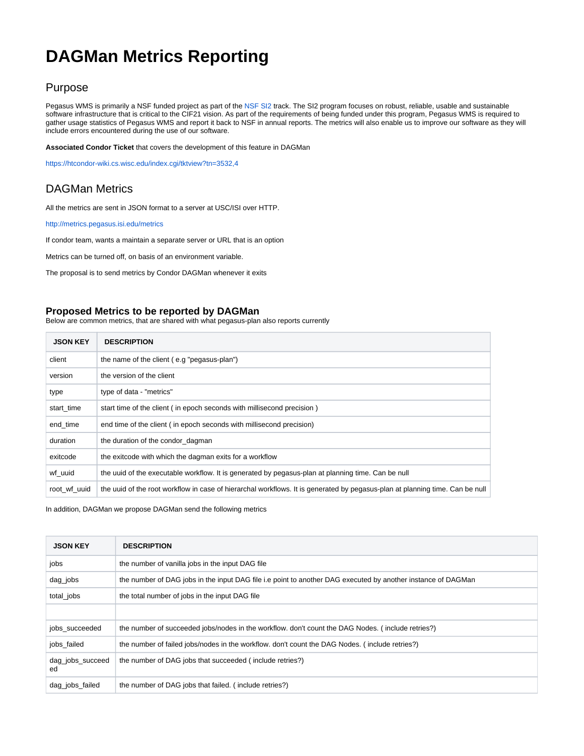## **DAGMan Metrics Reporting**

## Purpose

Pegasus WMS is primarily a NSF funded project as part of the [NSF SI2](http://www.nsf.gov/funding/pgm_summ.jsp?pims_id=504817) track. The SI2 program focuses on robust, reliable, usable and sustainable software infrastructure that is critical to the CIF21 vision. As part of the requirements of being funded under this program, Pegasus WMS is required to gather usage statistics of Pegasus WMS and report it back to NSF in annual reports. The metrics will also enable us to improve our software as they will include errors encountered during the use of our software.

**Associated Condor Ticket** that covers the development of this feature in DAGMan

<https://htcondor-wiki.cs.wisc.edu/index.cgi/tktview?tn=3532,4>

## DAGMan Metrics

All the metrics are sent in JSON format to a server at USC/ISI over HTTP.

<http://metrics.pegasus.isi.edu/metrics>

If condor team, wants a maintain a separate server or URL that is an option

Metrics can be turned off, on basis of an environment variable.

The proposal is to send metrics by Condor DAGMan whenever it exits

## **Proposed Metrics to be reported by DAGMan**

Below are common metrics, that are shared with what pegasus-plan also reports currently

| <b>JSON KEY</b> | <b>DESCRIPTION</b>                                                                                                           |
|-----------------|------------------------------------------------------------------------------------------------------------------------------|
| client          | the name of the client (e.g "pegasus-plan")                                                                                  |
| version         | the version of the client                                                                                                    |
| type            | type of data - "metrics"                                                                                                     |
| start time      | start time of the client (in epoch seconds with millisecond precision)                                                       |
| end_time        | end time of the client (in epoch seconds with millisecond precision)                                                         |
| duration        | the duration of the condor dagman                                                                                            |
| exitcode        | the exitcode with which the dagman exits for a workflow                                                                      |
| wf uuid         | the uuid of the executable workflow. It is generated by pegasus-plan at planning time. Can be null                           |
| root wf uuid    | the uuid of the root workflow in case of hierarchal workflows. It is generated by pegasus-plan at planning time. Can be null |

In addition, DAGMan we propose DAGMan send the following metrics

| <b>JSON KEY</b>        | <b>DESCRIPTION</b>                                                                                           |
|------------------------|--------------------------------------------------------------------------------------------------------------|
| jobs                   | the number of vanilla jobs in the input DAG file                                                             |
| $dag$ jobs             | the number of DAG jobs in the input DAG file i.e point to another DAG executed by another instance of DAGMan |
| total_jobs             | the total number of jobs in the input DAG file                                                               |
|                        |                                                                                                              |
| jobs succeeded         | the number of succeeded jobs/nodes in the workflow, don't count the DAG Nodes. (include retries?)            |
| jobs failed            | the number of failed jobs/nodes in the workflow. don't count the DAG Nodes. (include retries?)               |
| dag_jobs_succeed<br>ed | the number of DAG jobs that succeeded (include retries?)                                                     |
| dag jobs failed        | the number of DAG jobs that failed. (include retries?)                                                       |